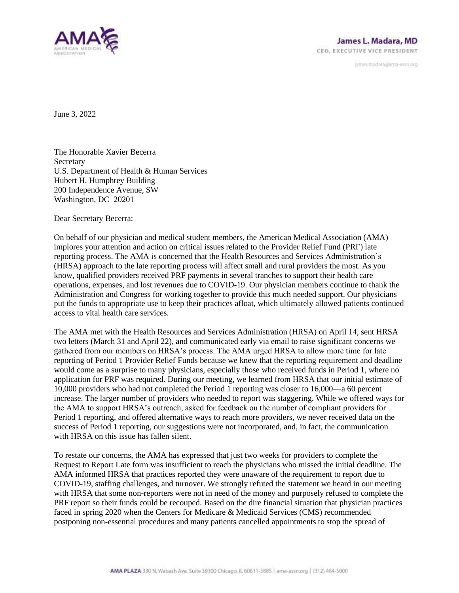

janves.madara@ama-assn.org

June 3, 2022

The Honorable Xavier Becerra **Secretary** U.S. Department of Health & Human Services Hubert H. Humphrey Building 200 Independence Avenue, SW Washington, DC 20201

Dear Secretary Becerra:

On behalf of our physician and medical student members, the American Medical Association (AMA) implores your attention and action on critical issues related to the Provider Relief Fund (PRF) late reporting process. The AMA is concerned that the Health Resources and Services Administration's (HRSA) approach to the late reporting process will affect small and rural providers the most. As you know, qualified providers received PRF payments in several tranches to support their health care operations, expenses, and lost revenues due to COVID-19. Our physician members continue to thank the Administration and Congress for working together to provide this much needed support. Our physicians put the funds to appropriate use to keep their practices afloat, which ultimately allowed patients continued access to vital health care services.

The AMA met with the Health Resources and Services Administration (HRSA) on April 14, sent HRSA two letters (March 31 and April 22), and communicated early via email to raise significant concerns we gathered from our members on HRSA's process. The AMA urged HRSA to allow more time for late reporting of Period 1 Provider Relief Funds because we knew that the reporting requirement and deadline would come as a surprise to many physicians, especially those who received funds in Period 1, where no application for PRF was required. During our meeting, we learned from HRSA that our initial estimate of 10,000 providers who had not completed the Period 1 reporting was closer to 16,000—a 60 percent increase. The larger number of providers who needed to report was staggering. While we offered ways for the AMA to support HRSA's outreach, asked for feedback on the number of compliant providers for Period 1 reporting, and offered alternative ways to reach more providers, we never received data on the success of Period 1 reporting, our suggestions were not incorporated, and, in fact, the communication with HRSA on this issue has fallen silent.

To restate our concerns, the AMA has expressed that just two weeks for providers to complete the Request to Report Late form was insufficient to reach the physicians who missed the initial deadline. The AMA informed HRSA that practices reported they were unaware of the requirement to report due to COVID-19, staffing challenges, and turnover. We strongly refuted the statement we heard in our meeting with HRSA that some non-reporters were not in need of the money and purposely refused to complete the PRF report so their funds could be recouped. Based on the dire financial situation that physician practices faced in spring 2020 when the Centers for Medicare & Medicaid Services (CMS) recommended postponing non-essential procedures and many patients cancelled appointments to stop the spread of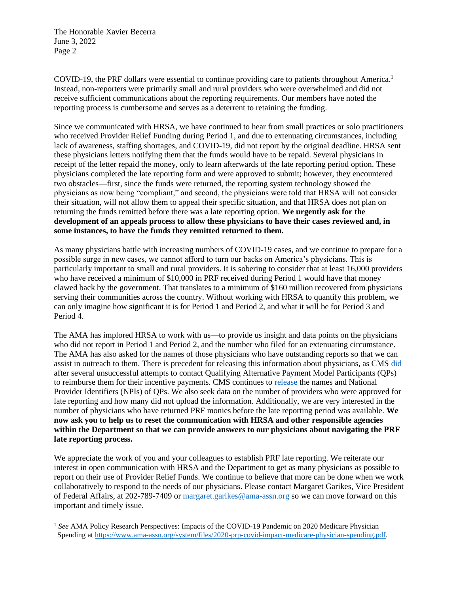The Honorable Xavier Becerra June 3, 2022 Page 2

COVID-19, the PRF dollars were essential to continue providing care to patients throughout America.<sup>1</sup> Instead, non-reporters were primarily small and rural providers who were overwhelmed and did not receive sufficient communications about the reporting requirements. Our members have noted the reporting process is cumbersome and serves as a deterrent to retaining the funding.

Since we communicated with HRSA, we have continued to hear from small practices or solo practitioners who received Provider Relief Funding during Period 1, and due to extenuating circumstances, including lack of awareness, staffing shortages, and COVID-19, did not report by the original deadline. HRSA sent these physicians letters notifying them that the funds would have to be repaid. Several physicians in receipt of the letter repaid the money, only to learn afterwards of the late reporting period option. These physicians completed the late reporting form and were approved to submit; however, they encountered two obstacles—first, since the funds were returned, the reporting system technology showed the physicians as now being "compliant," and second, the physicians were told that HRSA will not consider their situation, will not allow them to appeal their specific situation, and that HRSA does not plan on returning the funds remitted before there was a late reporting option. **We urgently ask for the development of an appeals process to allow these physicians to have their cases reviewed and, in some instances, to have the funds they remitted returned to them.**

As many physicians battle with increasing numbers of COVID-19 cases, and we continue to prepare for a possible surge in new cases, we cannot afford to turn our backs on America's physicians. This is particularly important to small and rural providers. It is sobering to consider that at least 16,000 providers who have received a minimum of \$10,000 in PRF received during Period 1 would have that money clawed back by the government. That translates to a minimum of \$160 million recovered from physicians serving their communities across the country. Without working with HRSA to quantify this problem, we can only imagine how significant it is for Period 1 and Period 2, and what it will be for Period 3 and Period 4.

The AMA has implored HRSA to work with us—to provide us insight and data points on the physicians who did not report in Period 1 and Period 2, and the number who filed for an extenuating circumstance. The AMA has also asked for the names of those physicians who have outstanding reports so that we can assist in outreach to them. There is precedent for releasing this information about physicians, as CMS [did](https://s3.amazonaws.com/public-inspection.federalregister.gov/2019-28010.pdf)  after several unsuccessful attempts to contact Qualifying Alternative Payment Model Participants (QPs) to reimburse them for their incentive payments. CMS continues to [release t](https://qpp-cm-prod-content.s3.amazonaws.com/uploads/1498/2021%20QP%20Notice%20for%20APM%20Incentive%20Payment%20Zip%20File.zip)he names and National Provider Identifiers (NPIs) of QPs. We also seek data on the number of providers who were approved for late reporting and how many did not upload the information. Additionally, we are very interested in the number of physicians who have returned PRF monies before the late reporting period was available. **We now ask you to help us to reset the communication with HRSA and other responsible agencies within the Department so that we can provide answers to our physicians about navigating the PRF late reporting process.**

We appreciate the work of you and your colleagues to establish PRF late reporting. We reiterate our interest in open communication with HRSA and the Department to get as many physicians as possible to report on their use of Provider Relief Funds. We continue to believe that more can be done when we work collaboratively to respond to the needs of our physicians. Please contact Margaret Garikes, Vice President of Federal Affairs, at 202-789-7409 or [margaret.garikes@ama-assn.org](mailto:margaret.garikes@ama-assn.org) so we can move forward on this important and timely issue.

<sup>&</sup>lt;sup>1</sup> See AMA Policy Research Perspectives: Impacts of the COVID-19 Pandemic on 2020 Medicare Physician Spending a[t https://www.ama-assn.org/system/files/2020-prp-covid-impact-medicare-physician-spending.pdf.](https://www.ama-assn.org/system/files/2020-prp-covid-impact-medicare-physician-spending.pdf)